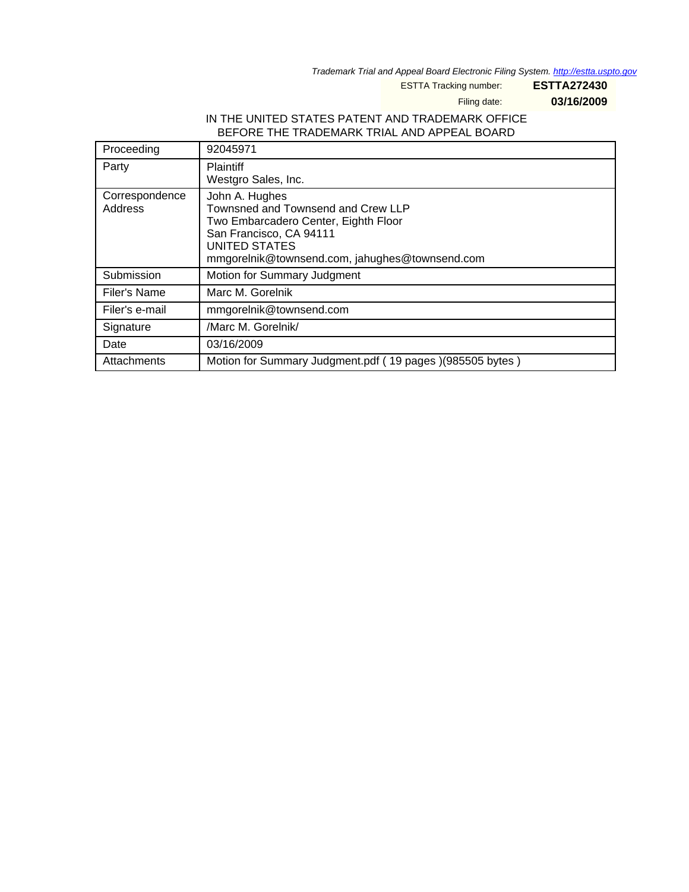Trademark Trial and Appeal Board Electronic Filing System. <http://estta.uspto.gov>

ESTTA Tracking number: **ESTTA272430**

Filing date: **03/16/2009**

### IN THE UNITED STATES PATENT AND TRADEMARK OFFICE BEFORE THE TRADEMARK TRIAL AND APPEAL BOARD

| Proceeding                | 92045971                                                                                                                                                                                          |
|---------------------------|---------------------------------------------------------------------------------------------------------------------------------------------------------------------------------------------------|
| Party                     | <b>Plaintiff</b><br>Westgro Sales, Inc.                                                                                                                                                           |
| Correspondence<br>Address | John A. Hughes<br>Townsned and Townsend and Crew LLP<br>Two Embarcadero Center, Eighth Floor<br>San Francisco, CA 94111<br><b>UNITED STATES</b><br>mmgorelnik@townsend.com, jahughes@townsend.com |
| Submission                | Motion for Summary Judgment                                                                                                                                                                       |
| Filer's Name              | Marc M. Gorelnik                                                                                                                                                                                  |
| Filer's e-mail            | mmgorelnik@townsend.com                                                                                                                                                                           |
| Signature                 | /Marc M. Gorelnik/                                                                                                                                                                                |
| Date                      | 03/16/2009                                                                                                                                                                                        |
| Attachments               | Motion for Summary Judgment.pdf (19 pages) (985505 bytes)                                                                                                                                         |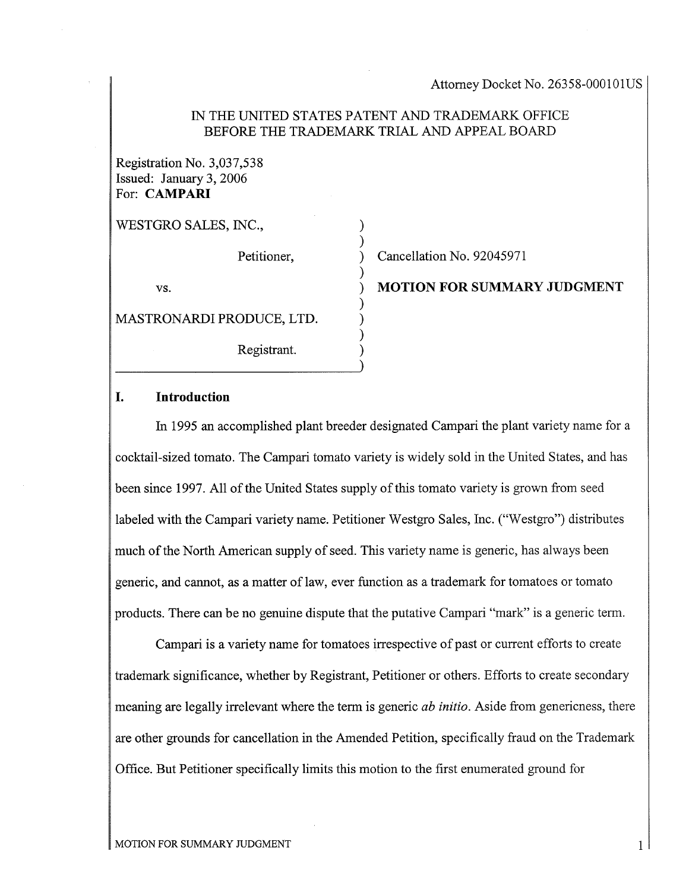### IN THE UNITED STATES PATENT AND TRADEMARK OFFICE BEFORE THE TRADEMARK TRIAL AND APPEAL BOARD

) )

)

) ) ) ) )

Registration No. 3,037,538 Issued: January 3, 2006 For: CAMPAR

WESTGRO SALES, INC.,

Petitioner,

vs.

MASTRONARDI PRODUCE, LTD.

Registrant.

) Cancellation No. 92045971

) MOTION FOR SUMMARY JUDGMENT

### I. Introduction

In 1995 an accomplished plant breeder designated Campari the plant variety name for a cocktail-sized tomato. The Campari tomato variety is widely sold in the United States, and has been since 1997. All of the United States supply of this tomato variety is grown from seed labeled with the Campari variety name. Petitioner Westgro Sales, Inc. ("Westgro") distributes much of the North American supply of seed. This variety name is generic, has always been generic, and cannot, as a matter of law, ever function as a trademark for tomatoes or tomato products. There can be no genuine dispute that the putative Campari "mark" is a generic term.

Campari is a variety name for tomatoes irrespective of past or current efforts to create trademark significance, whether by Registrant, Petitioner or others. Efforts to create secondary meaning are legally irrelevant where the term is generic *ab initio*. Aside from genericness, there are other grounds for cancellation in the Amended Petition, specifically fraud on the Trademark Office. But Petitioner specifically limits this motion to the first enumerated ground for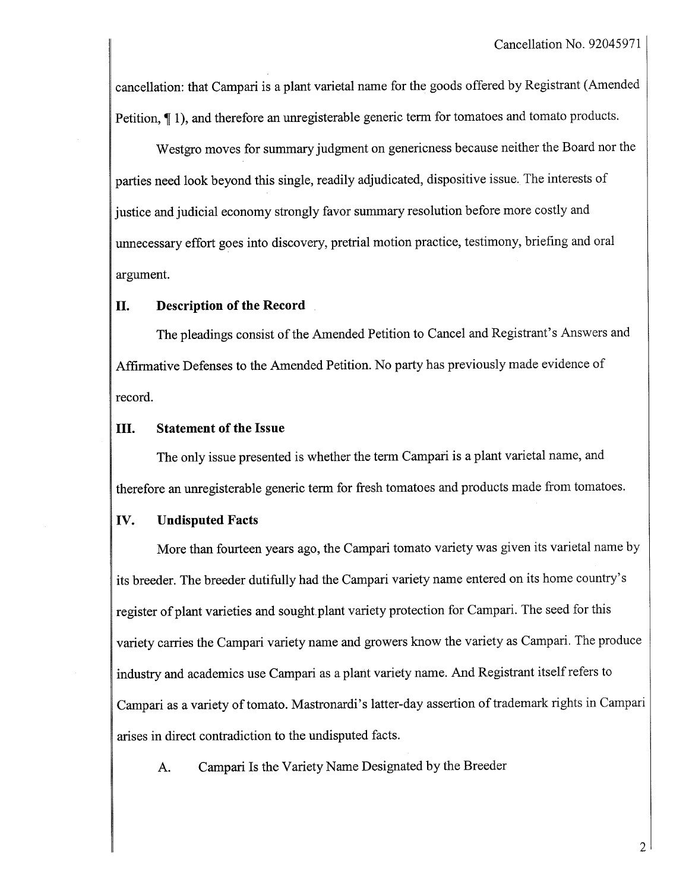cancellation: that Campari is a plant varietal name for the goods offered by Registrant (Amended Petition, 1), and therefore an unregisterable generic term for tomatoes and tomato products.

Westgro moves for summary judgment on genericness because neither the Board nor the paries need look beyond this single, readily adjudicated, dispositive issue. The interests of justice and judicial economy strongly favor summary resolution before more costly and unecessary effort goes into discovery, pretrial motion practice, testimony, briefing and oral argument.

### II. Description of the Record

The pleadings consist of the Amended Petition to Cancel and Registrant's Answers and Affirmative Defenses to the Amended Petition. No party has previously made evidence of record.

### III. Statement of the Issue

The only issue presented is whether the term Campari is a plant varietal name, and therefore an unegisterable generic term for fresh tomatoes and products made from tomatoes.

### IV. Undisputed Facts

More than fourteen years ago, the Campari tomato variety was given its varietal name by its breeder. The breeder dutifully had the Campari variety name entered on its home country's register of plant varieties and sought plant variety protection for Campari. The seed for this variety carries the Campari variety name and growers know the variety as Campari. The produce industry and academics use Campari as a plant variety name. And Registrant itself refers to Campari as a variety of tomato. Mastronardi's latter-day assertion of trademark rights in Campari arises in direct contradiction to the undisputed facts.

A. Campari Is the Variety Name Designated by the Breeder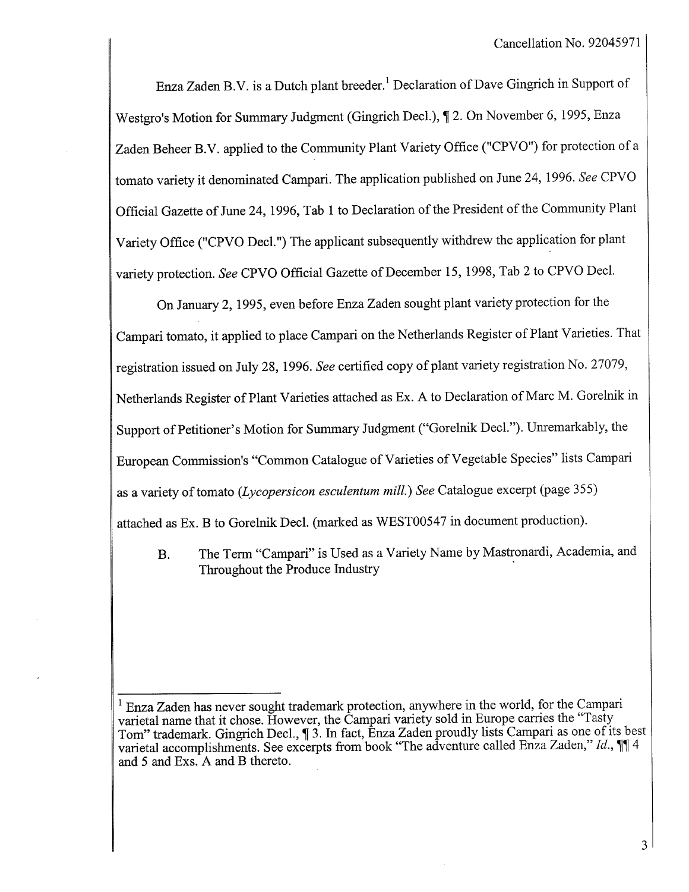Enza Zaden B.V. is a Dutch plant breeder.<sup>1</sup> Declaration of Dave Gingrich in Support of Westgro's Motion for Summary Judgment (Gingrich Decl.),  $\P$  2. On November 6, 1995, Enza Zaden Beheer B.V. applied to the Community Plant Variety Office ("CPVO") for protection of a tomato variety it denominated Campari. The application published on June 24, 1996. See CPVO Official Gazette of June 24, 1996, Tab 1 to Declaration of the President of the Community Plant Variety Office ("CPVO Decl.") The applicant subsequently withdrew the application for plant variety protection. See CPVO Official Gazette of December 15, 1998, Tab 2 to CPVO Decl.

On January 2, 1995, even before Enza Zaden sought plant variety protection for the Campari tomato, it applied to place Campari on the Netherlands Register of Plant Varieties. That registration issued on July 28, 1996. See certified copy of plant varety registration No. 27079, Netherlands Register of Plant Varieties attached as Ex. A to Declaration of Marc M. Gorelnik in Support of Petitioner's Motion for Summary Judgment ("Gorelnik Decl."). Unremarkably, the European Commission's "Common Catalogue of Vareties of Vegetable Species" lists Campari as a variety of tomato (Lycopersicon esculentum mill.) See Catalogue excerpt (page 355) attached as Ex. B to Gorelnik Decl. (marked as WEST00547 in document production).

B. The Term "Campari" is Used as a Variety Name by Mastronardi, Academia, and Throughout the Produce Industry

<sup>1</sup> Enza Zaden has never sought trademark protection, anywhere in the world, for the Campari varietal name that it chose. However, the Campari variety sold in Europe carries the "Tasty Tom" trademark. Gingrich Decl., 13. In fact, Enza Zaden proudly lists Campari as one of its best varietal accomplishments. See excerpts from book "The adventure called Enza Zaden," Id., 114 and 5 and Exs. A and B thereto.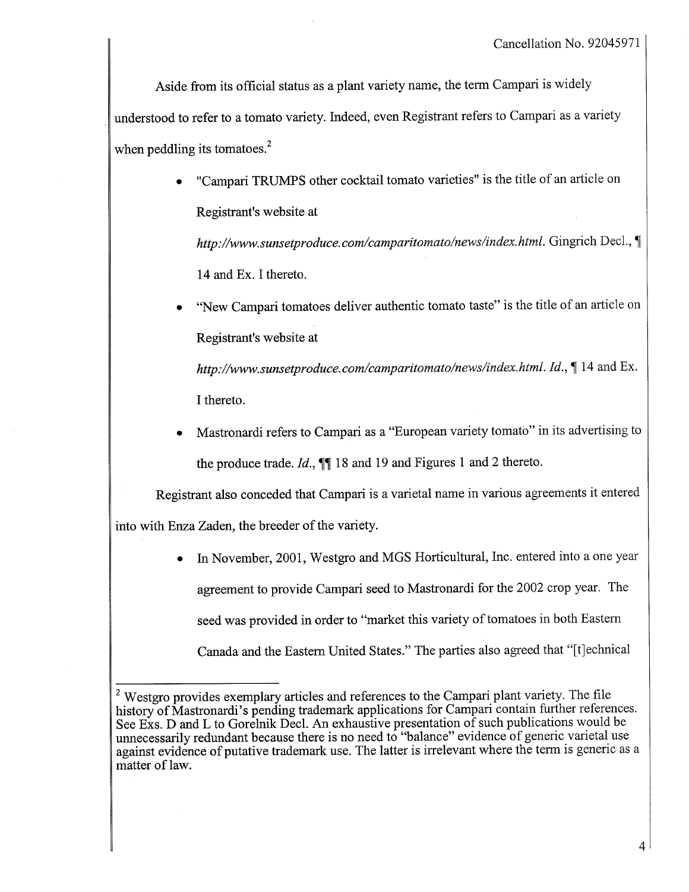Aside from its official status as a plant variety name, the term Campari is widely understood to refer to a tomato variety. Indeed, even Registrant refers to Campari as a variety when peddling its tomatoes. $<sup>2</sup>$ </sup>

> . "Campari TRUMPS other cocktail tomato vareties" is the title of an article on Registrant's website at

http://www.sunsetproduce.com/camparitomato/news/index.html. Gingrich Decl., \[ 14 and Ex. I thereto.

. "New Campari tomatoes deliver authentic tomato taste" is the title of an article on Registrant's website at

http://www.sunsetproduce.com/camparitomato/news/index.html. Id.,  $\P$  14 and Ex. I thereto.

. Mastronardi refers to Campari as a "European variety tomato" in its advertising to the produce trade.  $Id$ ,  $\P$  18 and 19 and Figures 1 and 2 thereto.

Registrant also conceded that Campari is a varietal name in various agreements it entered into with Enza Zaden, the breeder of the variety.

> . In November, 2001, Westgro and MGS Horticultural, Inc. entered into a one year agreement to provide Campari seed to Mastronardi for the 2002 crop year. The seed was provided in order to "market this variety of tomatoes in both Eastern Canada and the Eastern United States." The parties also agreed that "[t]echnical

<sup>&</sup>lt;sup>2</sup> Westgro provides exemplary articles and references to the Campari plant variety. The file history of Mastronardi's pending trademark applications for Campari contain further references. See Exs. D and L to Gorelnik Decl. An exhaustive presentation of such publications would be unnecessarily redundant because there is no need to "balance" evidence of generic varietal use against evidence of putative trademark use. The latter is irrelevant where the term is generic as a matter of law.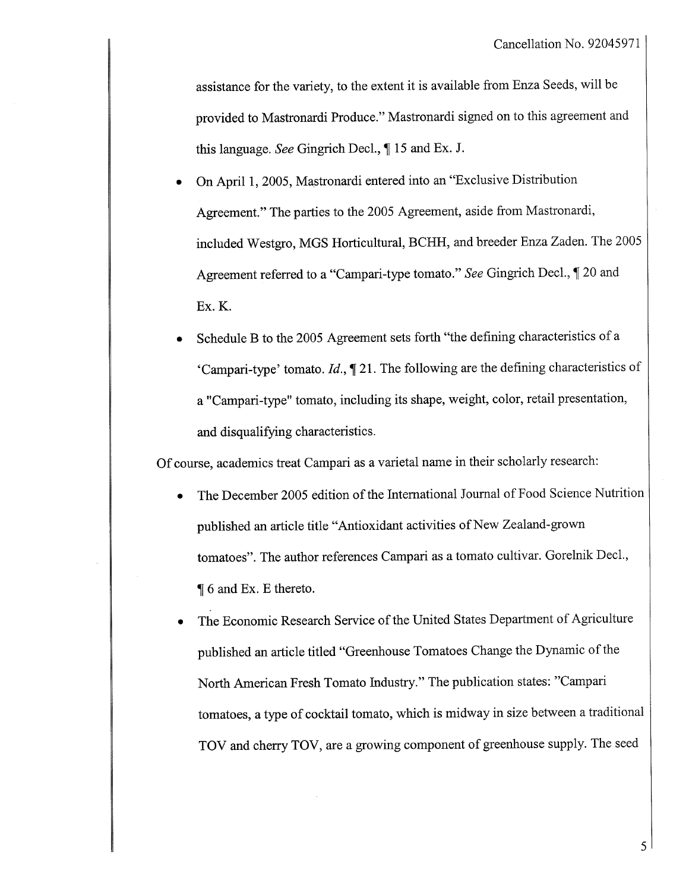assistance for the variety, to the extent it is available from Enza Seeds, will be provided to Mastronardi Produce." Mastronardi signed on to this agreement and this language. See Gingrich Decl.,  $\P$  15 and Ex. J.

- . On April 1,2005, Mastronardi entered into an "Exclusive Distribution Agreement." The paries to the 2005 Agreement, aside from Mastronardi, included Westgro, MGS Horticultural, BCHH, and breeder Enza Zaden. The 2005 Agreement referred to a "Campari-type tomato." See Gingrich Decl., ¶ 20 and EX.K.
- . Schedule B to the 2005 Agreement sets forth "the defining characteristics of a 'Campari-type' tomato.  $Id$ ,  $\P$  21. The following are the defining characteristics of a "Campari-type" tomato, including its shape, weight, color, retail presentation, and disqualifying characteristics.

Of course, academics treat Campari as a varietal name in their scholarly research:

- . The December 2005 edition of the International Journal of Food Science Nutrition published an article title "Antioxidant activities of New Zealand-grown tomatoes". The author references Campari as a tomato cultivar. Gorelnik Decl.,  $\P$  6 and Ex. E thereto.
- The Economic Research Service of the United States Department of Agriculture published an article titled "Greenhouse Tomatoes Change the Dynamic of the North American Fresh Tomato Industry." The publication states: "Campari tomatoes, a type of cocktail tomato, which is midway in size between a traditional TOV and cherry TOV, are a growing component of greenhouse supply. The seed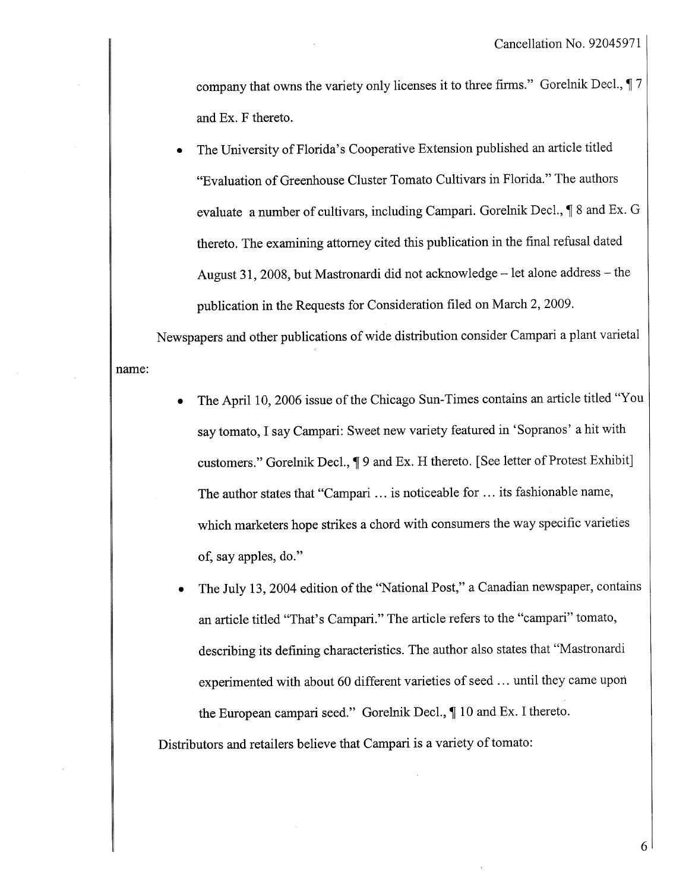company that owns the variety only licenses it to three firms." Gorelnik Decl.,  $\sqrt{ }7$ and Ex. F thereto.

. The University of Florida's Cooperative Extension published an article titled "Evaluation of Greenhouse Cluster Tomato Cultivars in Florida." The authors evaluate a number of cultivars, including Campari. Gorelnik Decl.,  $\P$  8 and Ex. G thereto. The examining attorney cited this publication in the final refusal dated August 31, 2008, but Mastronardi did not acknowledge - let alone address - the publication in the Requests for Consideration fied on March 2, 2009.

name: Newspapers and other publications of wide distribution consider Campari a plant varietal

- . The April 10, 2006 issue of the Chicago Sun-Times contains an article titled "You say tomato, I say Campari: Sweet new variety featured in 'Sopranos' a hit with customers." Gorelnik Decl., 19 and Ex. H thereto. [See letter of Protest Exhibit] The author states that "Campari ... is noticeable for... its fashionable name, which marketers hope strikes a chord with consumers the way specific varieties of, say apples, do."
- . The July 13, 2004 edition of the "National Post," a Canadian newspaper, contains an article titled "That's Campari." The article refers to the "campari" tomato, describing its defining characteristics. The author also states that "Mastronardi experimented with about 60 different varieties of seed. .. until they came upon the European campari seed." Gorelnik Decl.,  $\P$  10 and Ex. I thereto.

Distributors and retailers believe that Campari is a variety of tomato: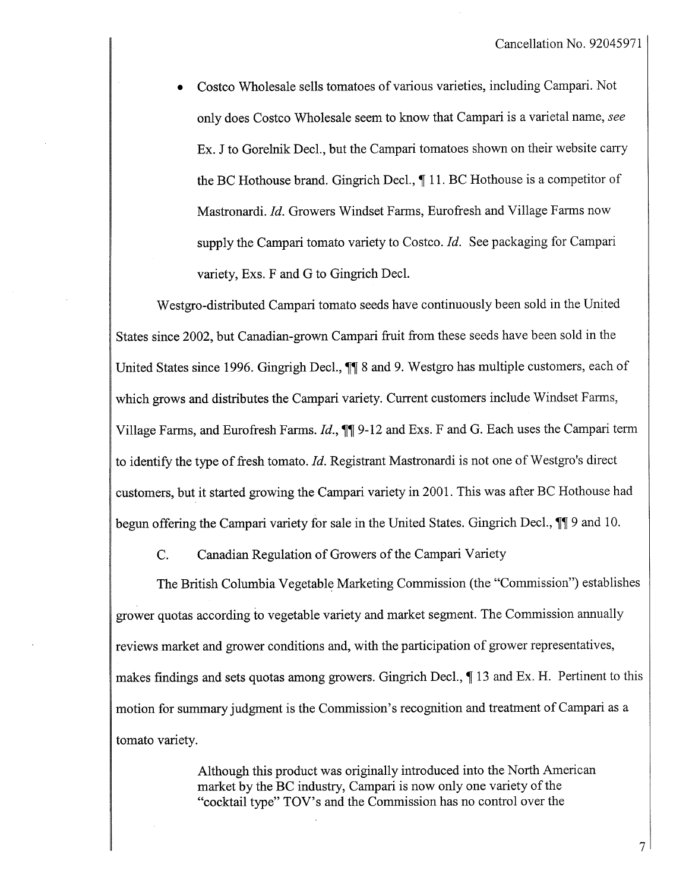. Costco Wholesale sells tomatoes of various varieties, including Campari. Not only does Costco Wholesale seem to know that Campari is a varietal name, see Ex. J to Gorelnik Decl., but the Campari tomatoes shown on their website carry the BC Hothouse brand. Gingrich Decl.,  $\P$  11. BC Hothouse is a competitor of Mastronardi. Id. Growers Windset Farms, Eurofresh and Village Farms now supply the Campari tomato variety to Costco.  $Id$ . See packaging for Campari variety, Exs. F and G to Gingrich Decl.

Westgro-distributed Campari tomato seeds have continuously been sold in the United States since 2002, but Canadian-grown Campari fruit from these seeds have been sold in the United States since 1996. Gingrigh Decl.,  $\P$  8 and 9. Westgro has multiple customers, each of which grows and distributes the Campari variety. Current customers include Windset Farms, Village Farms, and Eurofresh Farms.  $Id.$ ,  $\P\P$  9-12 and Exs. F and G. Each uses the Campari term to identify the type of fresh tomato.  $Id$ . Registrant Mastronardi is not one of Westgro's direct customers, but it started growing the Campari variety in 2001. This was after BC Hothouse had begun offering the Campari variety for sale in the United States. Gingrich Decl.,  $\P\P$  9 and 10.

C. Canadian Regulation of Growers of the Campari Variety

The British Columbia Vegetable Marketing Commission (the "Commission") establishes grower quotas according to vegetable variety and market segment. The Commission annually reviews market and grower conditions and, with the paricipation of grower representatives, makes findings and sets quotas among growers. Gingrich Decl.,  $\P$  13 and Ex. H. Pertinent to this motion for summary judgment is the Commission's recognition and treatment of Campari as a tomato variety.

> Although this product was originally introduced into the North American market by the BC industry, Campari is now only one variety of the "cocktail type" TOV's and the Commission has no control over the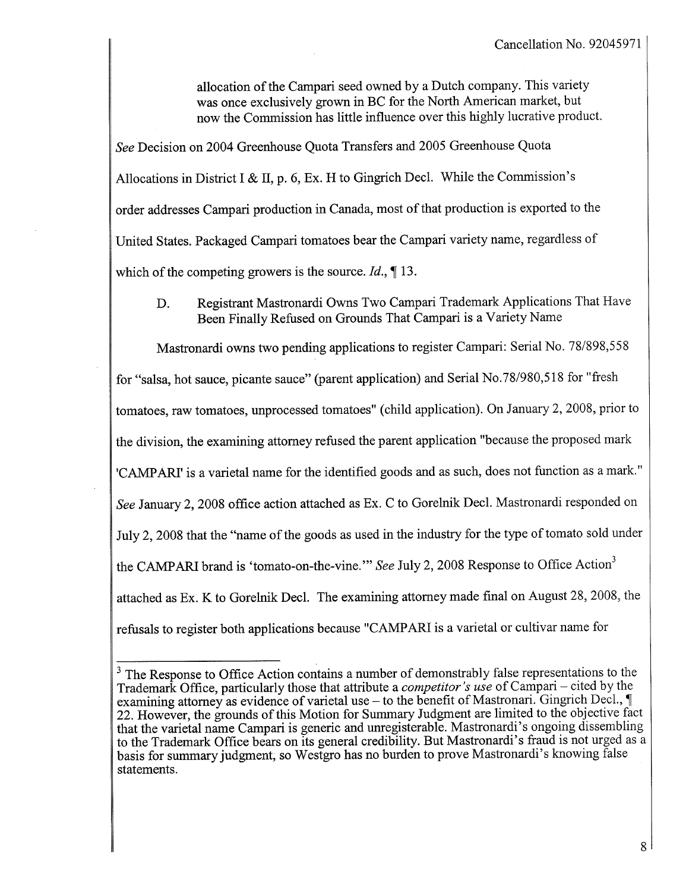allocation of the Campari seed owned by a Dutch company. This variety was once exclusively grown in BC for the North American market, but now the Commission has little influence over this highly lucrative product.

See Decision on 2004 Greenhouse Quota Transfers and 2005 Greenhouse Quota Allocations in District I & II, p. 6, Ex. H to Gingrich Decl. While the Commission's order addresses Campari production in Canada, most of that production is exported to the United States. Packaged Campari tomatoes bear the Campari variety name, regardless of which of the competing growers is the source.  $Id$ .,  $\P$  13.

D. Registrant Mastronardi Owns Two Campari Trademark Applications That Have Been Finally Refused on Grounds That Campari is a Variety Name

Mastronardi owns two pending applications to register Campari: Serial No. 78/898,558 for "salsa, hot sauce, picante sauce" (parent application) and Serial No.78/980,518 for "fresh tomatoes, raw tomatoes, unprocessed tomatoes" (child application). On January 2, 2008, prior to the division, the examining attorney refused the parent application "because the proposed mark 'CAMPARI' is a varietal name for the identified goods and as such, does not function as a mark." See January 2, 2008 office action attached as Ex. C to Gorelnik Decl. Mastronardi responded on July 2,2008 that the "name of the goods as used in the industry for the type of tomato sold under the CAMPARI brand is 'tomato-on-the-vine." See July 2, 2008 Response to Office Action<sup>3</sup> attached as Ex. K to Gorelnik Decl. The examining attorney made final on August 28,2008, the refusals to register both applications because "CAMPARI is a varietal or cultivar name for

<sup>&</sup>lt;sup>3</sup> The Response to Office Action contains a number of demonstrably false representations to the Trademark Office, particularly those that attribute a *competitor's use* of Campari – cited by the examining attorney as evidence of varietal use – to the benefit of Mastronari. Gingrich Decl.,  $\P$ 22. However, the grounds of this Motion for Summary Judgment are limited to the objective fact that the varietal name Campari is generic and unregisterable. Mastronardi's ongoing dissembling to the Trademark Office bears on its general credibility. But Mastronardi's fraud is not urged as a basis for summary judgment, so Westgro has no burden to prove Mastronardi's knowing false statements.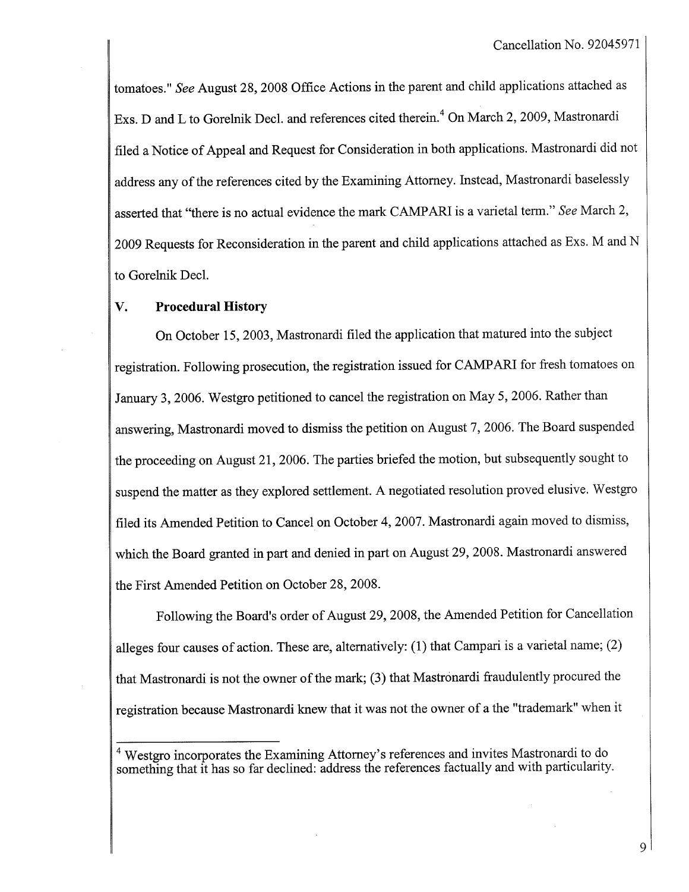tomatoes." See August 28, 2008 Office Actions in the parent and child applications attached as Exs. D and L to Gorelnik Decl. and references cited therein.<sup>4</sup> On March 2, 2009, Mastronardi filed a Notice of Appeal and Request for Consideration in both applications. Mastronardi did not address any of the references cited by the Examining Attorney. Instead, Mastronardi baselessly asserted that "there is no actual evidence the mark CAMPARI is a varietal term." See March 2, 2009 Requests for Reconsideration in the parent and child applications attached as Exs. M and N to Gorelnik Decl.

### V. Procedural History

On October 15,2003, Mastronardi fied the application that matured into the subject registration. Following prosecution, the registration issued for CAMPARI for fresh tomatoes on January 3, 2006. Westgro petitioned to cancel the registration on May 5, 2006. Rather than answering, Mastronardi moved to dismiss the petition on August 7, 2006. The Board suspended the proceeding on August 21, 2006. The parties briefed the motion, but subsequently sought to suspend the matter as they explored settlement. A negotiated resolution proved elusive. Westgro filed its Amended Petition to Cancel on October 4, 2007. Mastronardi again moved to dismiss, which the Board granted in part and denied in part on August 29, 2008. Mastronardi answered the First Amended Petition on October 28, 2008.

Following the Board's order of August 29,2008, the Amended Petition for Cancellation alleges four causes of action. These are, alternatively: (1) that Campari is a varietal name; (2) that Mastronardi is not the owner of the mark; (3) that Mastrónardi fraudulently procured the registration because Mastronardi knew that it was not the owner of a the "trademark" when it

9

<sup>&</sup>lt;sup>4</sup> Westgro incorporates the Examining Attorney's references and invites Mastronardi to do something that it has so far declined: address the references factually and with particularity.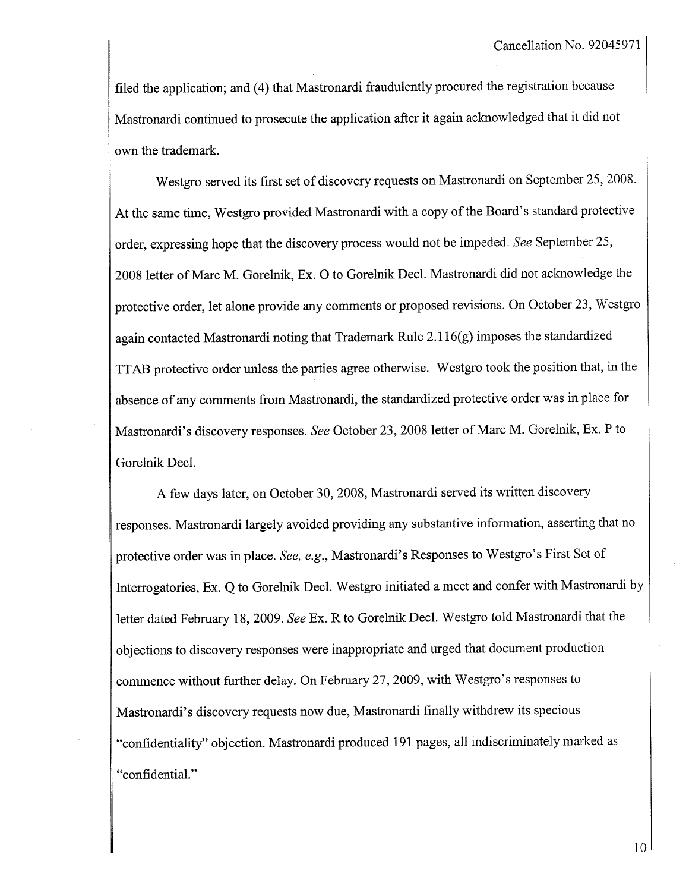fied the application; and (4) that Mastronardi fraudulently procured the registration because Mastronardi continued to prosecute the application after it again acknowledged that it did not own the trademark.

Westgro served its first set of discovery requests on Mastronardi on September 25,2008. At the same time, Westgro provided Mastronardi with a copy of the Board's standard protective order, expressing hope that the discovery process would not be impeded. See September 25, 2008 letter of Marc M. Gorelnik, Ex. 0 to Gorelnik Decl. Mastronardi did not acknowledge the protective order, let alone provide any comments or proposed revisions. On October 23, Westgro again contacted Mastronardi noting that Trademark Rule 2.116(g) imposes the standardized TT AB protective order unless the paries agree otherwise. Westgro took the position that, in the absence of any comments from Mastronardi, the standardized protective order was in place for Mastronardi's discovery responses. See October 23,2008 letter of Marc M. Gorelnik, Ex. P to Gorelnik Decl.

A few days later, on October 30,2008, Mastronardi served its written discovery responses. Mastronardi largely avoided providing any substantive information, asserting that no protective order was in place. See, e.g., Mastronardi's Responses to Westgro's First Set of Interrogatories, Ex. Q to Gorelnik Decl. Westgro initiated a meet and confer with Mastronardi by letter dated February 18, 2009. See Ex. R to Gorelnik Decl. Westgro told Mastronardi that the objections to discovery responses were inappropriate and urged that document production commence without further delay. On February 27,2009, with Westgro's responses to Mastronardi's discovery requests now due, Mastronardi finally withdrew its specious "confidentiality" objection. Mastronardi produced 191 pages, all indiscriminately marked as "confidential."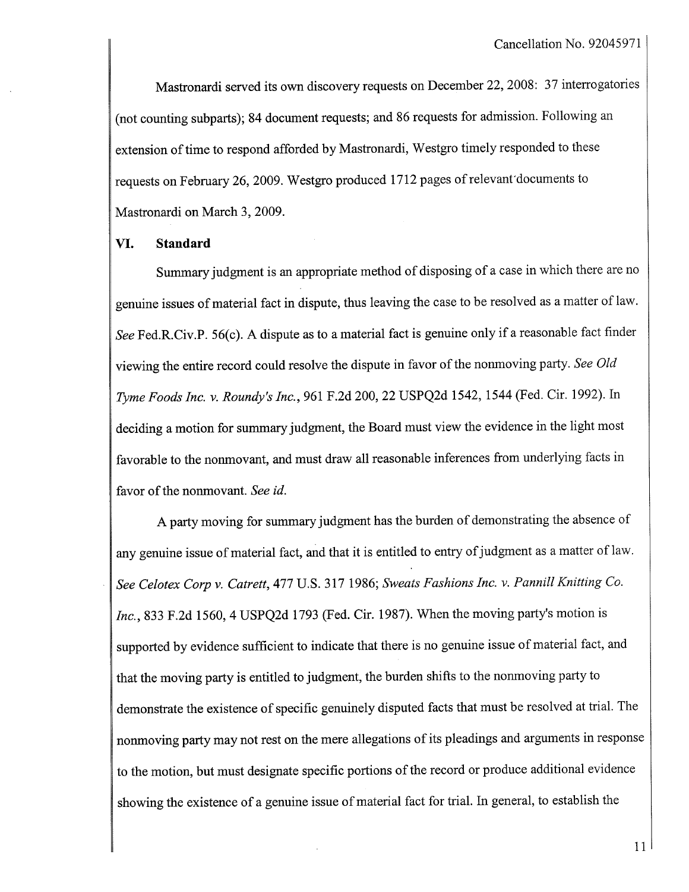Mastronardi served its own discovery requests on December 22,2008: 37 interrogatories (not counting subparts); 84 document requests; and 86 requests for admission. Following an extension of time to respond afforded by Mastronardi, Westgro timely responded to these requests on February 26, 2009. Westgro produced 1712 pages of relevant documents to Mastronardi on March 3, 2009.

### VI. Standard

Summary judgment is an appropriate method of disposing of a case in which there are no genuine issues of material fact in dispute, thus leaving the case to be resolved as a matter of law. See Fed.R.Civ.P. 56(c). A dispute as to a material fact is genuine only if a reasonable fact finder viewing the entire record could resolve the dispute in favor of the nonmoving party. See Old Tyme Foods Inc. v. Roundy's Inc., 961 F.2d 200,22 USPQ2d 1542, 1544 (Fed. Cir. 1992). In deciding a motion for summary judgment, the Board must view the evidence in the light most favorable to the nonmovant, and must draw all reasonable inferences from underlying facts in favor of the nonmovant. See id.

A party moving for summary judgment has the burden of demonstrating the absence of any genuine issue of material fact, and that it is entitled to entry of judgment as a matter of law. See Celotex Corp v. Catrett, 477 U.S. 317 1986; Sweats Fashions Inc. v. Pannill Knitting Co.  $Inc.$  833 F.2d 1560, 4 USPO2d 1793 (Fed. Cir. 1987). When the moving party's motion is supported by evidence sufficient to indicate that there is no genuine issue of material fact, and that the moving pary is entitled to judgment, the burden shifts to the nonmoving party to demonstrate the existence of specific genuinely disputed facts that must be resolved at triaL. The nonmoving pary may not rest on the mere allegations of its pleadings and arguments in response to the motion, but must designate specific portions of the record or produce additional evidence showing the existence of a genuine issue of material fact for tral. In general, to establish the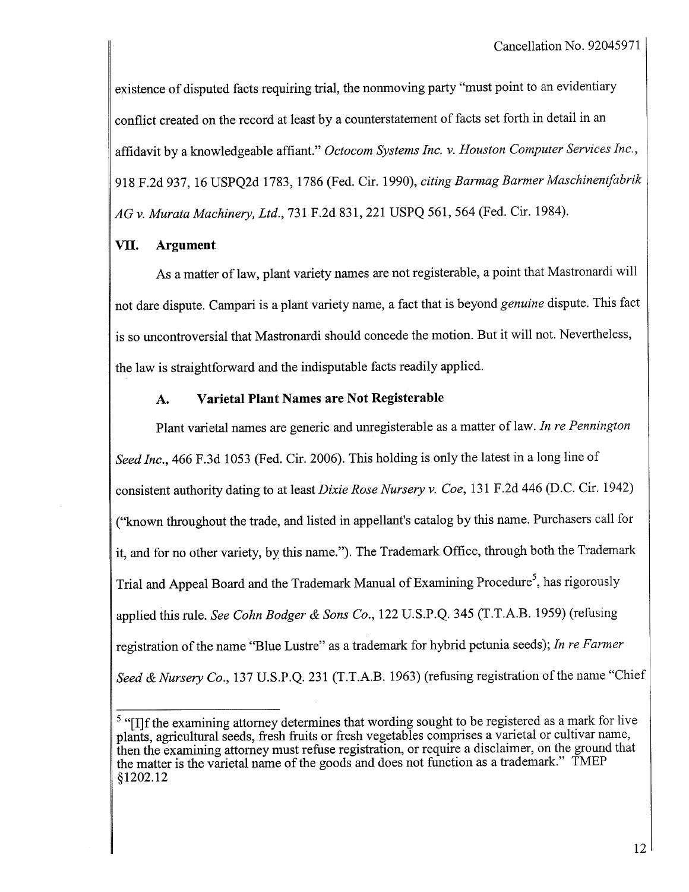existence of disputed facts requiring trial, the nonmoving party "must point to an evidentiary conflict created on the record at least by a counterstatement of facts set forth in detail in an affidavit by a knowledgeable affiant." Octocom Systems Inc. v. Houston Computer Services Inc., 918 F.2d 937, 16 USPQ2d 1783, 1786 (Fed. Cir. 1990), citing Barmag Barmer Maschinentfabrik AG v. Murata Machinery, Ltd., 731 F.2d 831, 221 USPQ 561, 564 (Fed. Cir. 1984).

# VII. Argument

As a matter of law, plant variety names are not registerable, a point that Mastronardi will not dare dispute. Campari is a plant variety name, a fact that is beyond *genuine* dispute. This fact is so uncontroversial that Mastronardi should concede the motion. But it will not. Nevertheless, the law is straightforward and the indisputable facts readily applied.

# A. Varietal Plant Names are Not Registerable

Plant varietal names are generic and unregisterable as a matter of law. In re Pennington Seed Inc., 466 F.3d 1053 (Fed. Cir. 2006). This holding is only the latest in a long line of consistent authority dating to at least Dixie Rose Nursery v. Coe, 131 F.2d 446 (D.C. Cir. 1942) ("known throughout the trade, and listed in appellant's catalog by this name. Purchasers call for it, and for no other variety, by this name."). The Trademark Office, through both the Trademark Trial and Appeal Board and the Trademark Manual of Examining Procedure<sup>5</sup>, has rigorously applied this rule. See Cohn Bodger & Sons Co., 122 U.S.P.Q. 345 (T.T.A.B. 1959) (refusing registration of the name "Blue Lustre" as a trademark for hybrid petunia seeds); In re Farmer Seed & Nursery Co., 137 U.S.P.Q. 231 (T.T.A.B. 1963) (refusing registration of the name "Chief

 $<sup>5</sup>$  "[I]f the examining attorney determines that wording sought to be registered as a mark for live</sup> plants, agricultural seeds, fresh fruits or fresh vegetables comprises a varietal or cultivar name, then the examining attorney must refuse registration, or require a disclaimer, on the ground that the matter is the varietal name of the goods and does not function as a trademark." TMEP §1202.12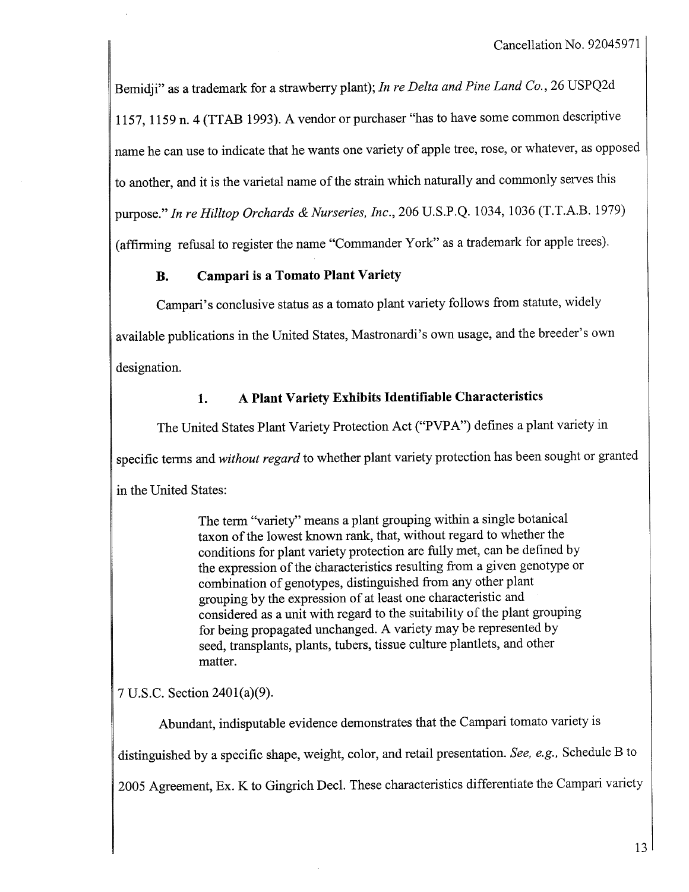Bemidji" as a trademark for a strawberry plant); In re Delta and Pine Land Co., 26 USPQ2d 1157, 1159 n. 4 (TTAB 1993). A vendor or purchaser "has to have some common descriptive name he can use to indicate that he wants one variety of apple tree, rose, or whatever, as opposed to another, and it is the varietal name of the strain which naturally and commonly serves this purose." In re Hilltop Orchards & Nurseries, Inc., 206 U.S.P.Q. 1034, 1036 (T.T.A.B. 1979) (affrming refusal to register the name "Commander York" as a trademark for apple trees).

# B. Campari is a Tomato Plant Variety

Campar's conclusive status as a tomato plant variety follows from statute, widely available publications in the United States, Mastronardi's own usage, and the breeder's own designation.

# 1. A Plant Variety Exhibits Identifable Characteristics

The United States Plant Variety Protection Act ("PVPA") defines a plant variety in specific terms and without regard to whether plant variety protection has been sought or granted in the United States:

> The term "variety" means a plant grouping within a single botanical taxon of the lowest known rank, that, without regard to whether the conditions for plant variety protection are fully met, can be defined by the expression of the characteristics resulting from a given genotype or combination of genotypes, distinguished from any other plant grouping by the expression of at least one characteristic and considered as a unit with regard to the suitability of the plant grouping for being propagated unchanged. A variety may be represented by seed, transplants, plants, tubers, tissue culture plantlets, and other matter.

7 U.S.c. Section 2401(a)(9).

Abundant, indisputable evidence demonstrates that the Campari tomato variety is distinguished by a specific shape, weight, color, and retail presentation. See, e.g., Schedule B to 2005 Agreement, Ex. K to Gingrich Decl. These characteristics differentiate the Campari variety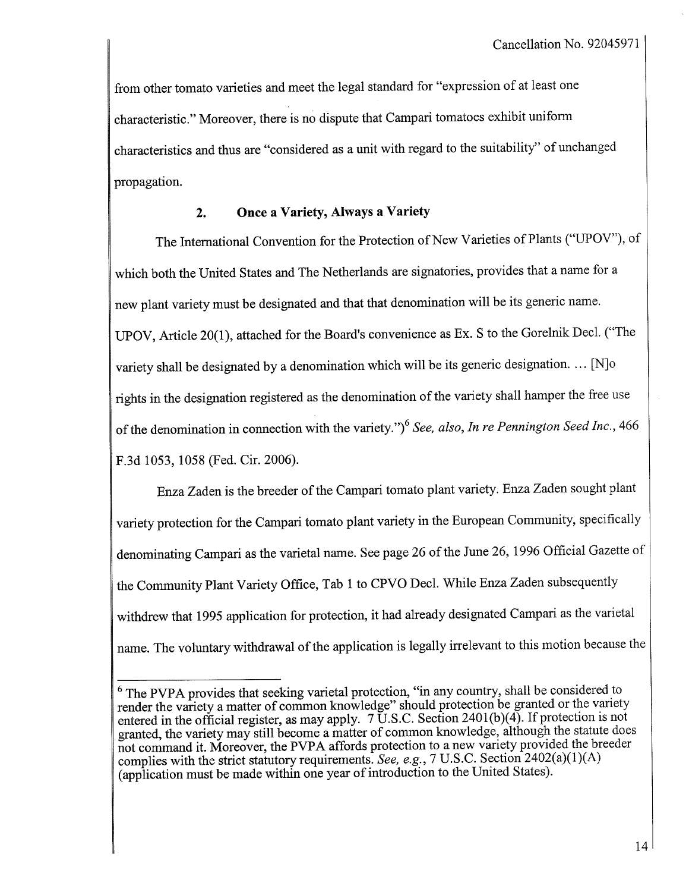from other tomato varieties and meet the legal standard for "expression of at least one characteristic." Moreover, there is no dispute that Campari tomatoes exhibit uniform characteristics and thus are "considered as a unt with regard to the suitability" of unchanged propagation.

## 2. Once a Variety, Always a Variety

The International Convention for the Protection of New Varieties of Plants ("UPOV"), of which both the United States and The Netherlands are signatories, provides that a name for a new plant variety must be designated and that that denomination will be its generic name. UPOV, Aricle 20(1), attached for the Board's convenience as Ex. S to the Gorelnik Decl. ("The variety shall be designated by a denomination which will be its generic designation. ... [N] $\circ$ rights in the designation registered as the denomination of the variety shall hamper the free use of the denomination in connection with the variety.")<sup>6</sup> See, also, In re Pennington Seed Inc., 466 F.3d 1053, 1058 (Fed. Cir. 2006).

Enza Zaden is the breeder of the Campari tomato plant variety. Enza Zaden sought plant variety protection for the Campari tomato plant variety in the European Community, specifically denominating Campari as the varietal name. See page 26 of the June 26, 1996 Official Gazette of the Community Plant Variety Office, Tab 1 to CPVO Decl. While Enza Zaden subsequently withdrew that 1995 application for protection, it had already designated Campari as the varietal name. The voluntary withdrawal of the application is legally irrelevant to this motion because the

 $6$  The PVPA provides that seeking varietal protection, "in any country, shall be considered to render the variety a matter of common knowledge" should protection be granted or the variety entered in the official register, as may apply. 7 U.S.C. Section 2401(b)(4). If protection is not granted, the variety may stil become a matter of common knowledge, although the statute does not command it. Moreover, the PVPA affords protection to a new variety provided the breeder complies with the strict statutory requirements. See, e.g., 7 U.S.C. Section 2402(a)(1)(A) (application must be made within one year of introduction to the United States).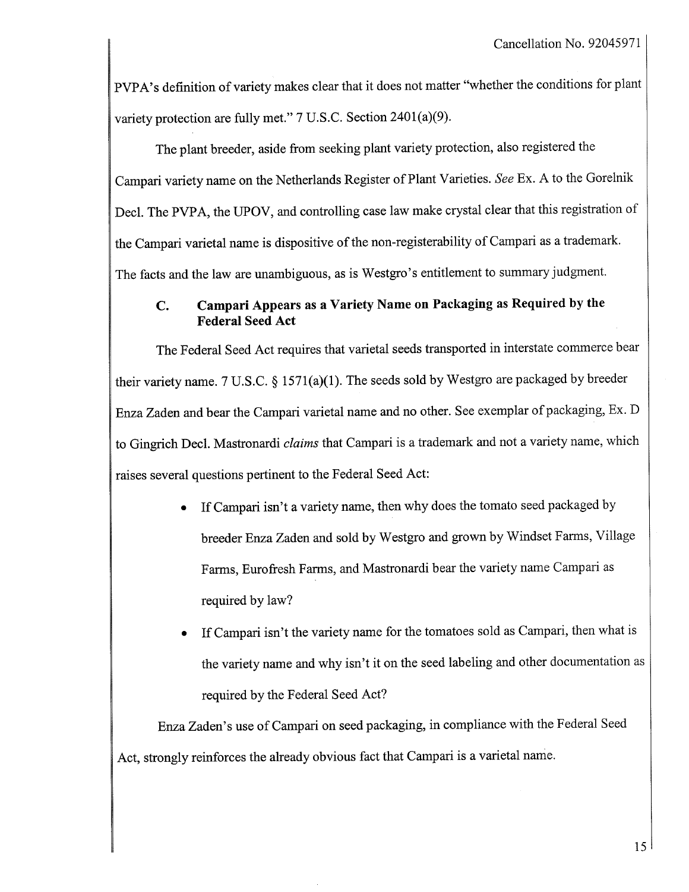PVPA's definition of variety makes clear that it does not matter "whether the conditions for plant variety protection are fully met."  $7 \text{ U.S.C.}$  Section  $2401(a)(9)$ .

The plant breeder, aside from seeking plant variety protection, also registered the Campari variety name on the Netherlands Register of Plant Varieties. See Ex. A to the Gorelnik Decl. The PVPA, the UPOV, and controlling case law make crystal clear that this registration of the Campari varietal name is dispositive of the non-registerability of Campari as a trademark. The facts and the law are unambiguous, as is Westgro's entitlement to summary judgment.

# C. Campari Appears as a Variety Name on Packaging as Required by the Federal Seed Act

The Federal Seed Act requires that varietal seeds transported in interstate commerce bear their variety name. 7 U.S.C. § 1571(a)(1). The seeds sold by Westgro are packaged by breeder Enza Zaden and bear the Campari varietal name and no other. See exemplar of packaging, Ex. D to Gingrich Decl. Mastronardi claims that Campari is a trademark and not a variety name, which raises several questions pertinent to the Federal Seed Act:

- If Campari isn't a variety name, then why does the tomato seed packaged by breeder Enza Zaden and sold by Westgro and grown by Windset Farms, Village Farms, Eurofresh Farms, and Mastronardi bear the variety name Campari as required by law?
- . If Campari isn't the variety name for the tomatoes sold as Campari, then what is the variety name and why isn't it on the seed labeling and other documentation as required by the Federal Seed Act?

Enza Zaden's use of Campari on seed packaging, in compliance with the Federal Seed Act, strongly reinforces the already obvious fact that Campari is a varietal name.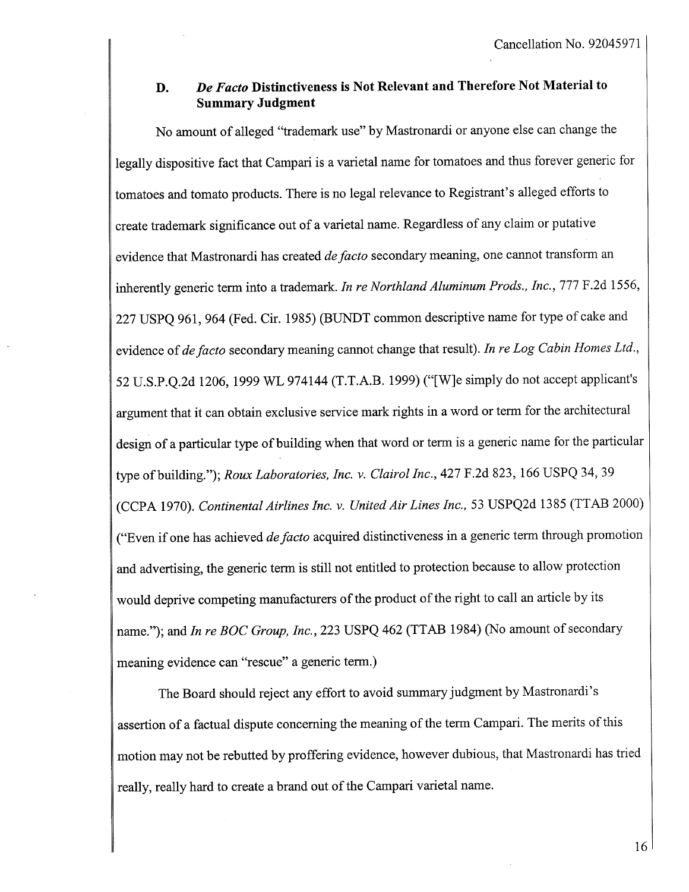### D. De Facto Distinctiveness is Not Relevant and Therefore Not Material to Summary Judgment

No amount of alleged "trademark use" by Mastronardi or anyone else can change the legally dispositive fact that Campari is a varietal name for tomatoes and thus forever generic for tomatoes and tomato products. There is no legal relevance to Registrant's alleged efforts to create trademark significance out of a varetal name. Regardless of any claim or putative evidence that Mastronardi has created de facto secondary meaning, one cannot transform an inherently generic term into a trademark. In re Northland Aluminum Prods., Inc., 777 F.2d 1556, 227 USPQ 961, 964 (Fed. Cir. 1985) (BUNDT common descriptive name for type of cake and evidence of de facto secondary meaning cannot change that result). In re Log Cabin Homes Ltd., 52 U.S.P.Q.2d 1206, 1999 WL 974144 (T.T.A.B. 1999) ("(WJe simply do not accept applicant's argument that it can obtain exclusive service mark rights in a word or term for the architectural design of a particular type of building when that word or term is a generic name for the particular type of building."); Roux Laboratories, Inc. v. Clairol Inc., 427 F.2d 823, 166 USPQ 34, 39 (CCPA 1970). Continental Airlines Inc. v. United Air Lines Inc., 53 USPQ2d 1385 (TTAB 2000) ("Even if one has achieved *de facto* acquired distinctiveness in a generic term through promotion and advertising, the generic term is still not entitled to protection because to allow protection would deprive competing manufacturers of the product of the right to call an article by its name."); and In re BOC Group, Inc., 223 USPQ 462 (TTAB 1984) (No amount of secondary meaning evidence can "rescue" a generic term.)

The Board should reject any effort to avoid summary judgment by Mastronardi's assertion of a factual dispute concerning the meaning of the term Campari. The merits of this motion may not be rebutted by proffering evidence, however dubious, that Mastronardi has tried really, really hard to create a brand out of the Campari varietal name.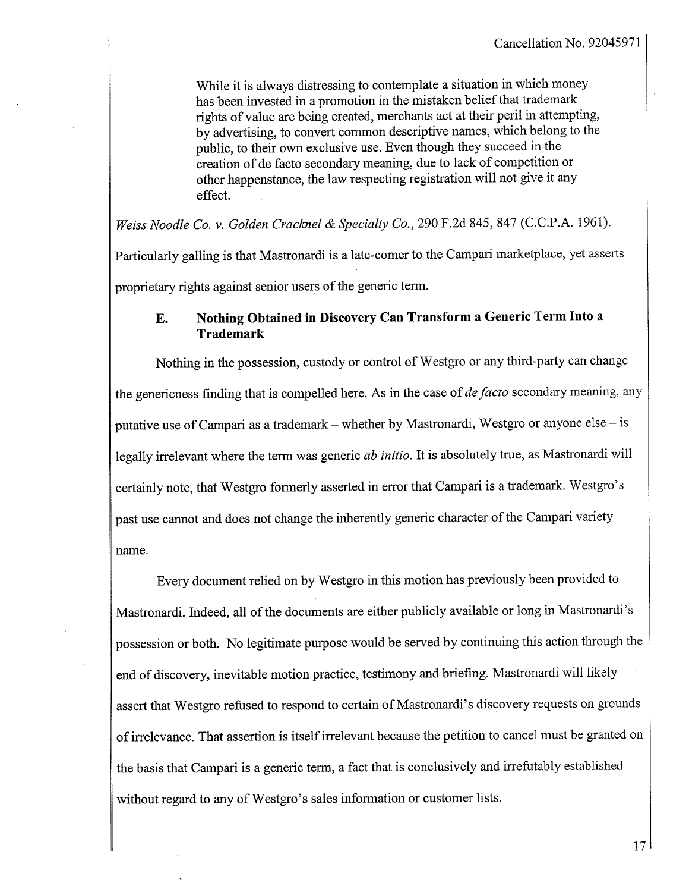While it is always distressing to contemplate a situation in which money has been invested in a promotion in the mistaken belief that trademark rights of value are being created, merchants act at their peril in attempting, by advertising, to convert common descriptive names, which belong to the public, to their own exclusive use. Even though they succeed in the creation of de facto secondary meanng, due to lack of competition or other happenstance, the law respecting registration will not give it any effect.

Weiss Noodle Co. v. Golden Cracknel & Specialty Co., 290 F.2d 845, 847 (C.C.P.A. 1961).

Paricularly galling is that Mastronardi is a late-comer to the Campari marketplace, yet asserts

proprietary rights against senior users of the generic term.

## E. Nothing Obtained in Discovery Can Transform a Generic Term Into a Trademark

Nothing in the possession, custody or control of Westgro or any third-party can change the genericness finding that is compelled here. As in the case of *de facto* secondary meaning, any putative use of Campari as a trademark – whether by Mastronardi, Westgro or anyone else – is legally irrelevant where the term was generic *ab initio*. It is absolutely true, as Mastronardi will certainly note, that Westgro formerly asserted in error that Campari is a trademark. Westgro's past use canot and does not change the inherently generic character of the Campari variety name.

Every document relied on by Westgro in this motion has previously been provided to Mastronardi. Indeed, all of the documents are either publicly available or long in Mastronardi's possession or both. No legitimate purpose would be served by continuing this action through the end of discovery, inevitable motion practice, testimony and briefing. Mastronardi will likely assert that Westgro refused to respond to certain of Mastronardi's discovery requests on grounds of irrelevance. That assertion is itself irrelevant because the petition to cancel must be granted on the basis that Campari is a generic term, a fact that is conclusively and irrefutably established without regard to any of Westgro's sales information or customer lists.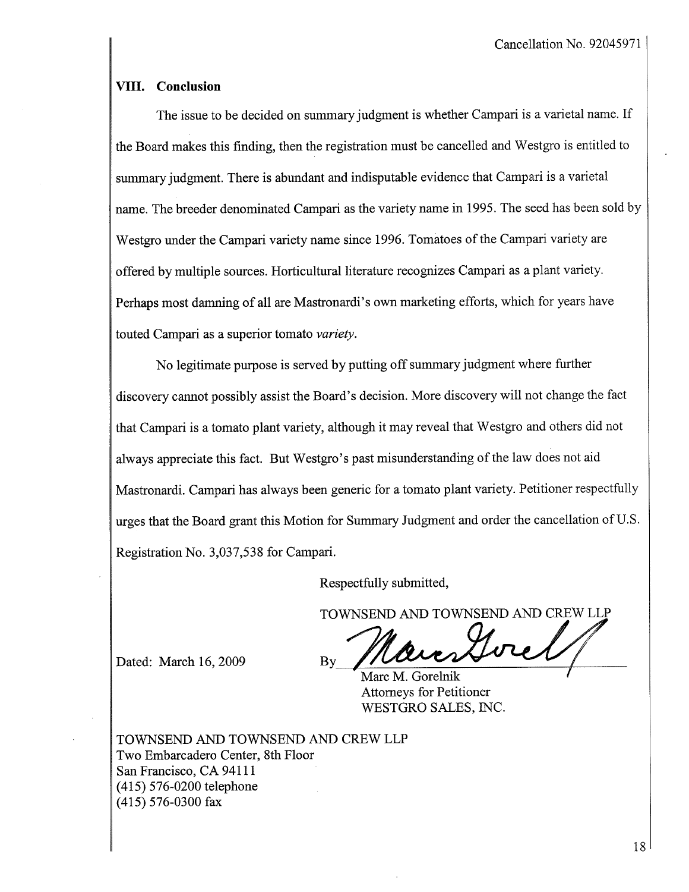### VIII. Conclusion

The issue to be decided on summary judgment is whether Campari is a varietal name. If the Board makes this finding, then the registration must be cancelled and Westgro is entitled to summary judgment. There is abundant and indisputable evidence that Campari is a varietal name. The breeder denominated Campari as the variety name in 1995. The seed has been sold by Westgro under the Campari variety name since 1996. Tomatoes of the Campari variety are offered by multiple sources. Horticultural literature recognizes Campari as a plant variety. Perhaps most damning of all are Mastronardi's own marketing efforts, which for years have touted Campari as a superior tomato variety.

No legitimate purose is served by putting off summary judgment where further discovery cannot possibly assist the Board's decision. More discovery will not change the fact that Campari is a tomato plant variety, although it may reveal that Westgro and others did not always appreciate this fact. But Westgro's past misunderstanding of the law does not aid Mastronardi. Campari has always been generic for a tomato plant variety. Petitioner respectfully urges that the Board grant this Motion for Sumary Judgment and order the cancellation of U.S. Registration No. 3,037,538 for Campari.

Respectfully submitted,

Dated: March 16, 2009

TOWNSEND AND TOWNSEND AND CREW LLP

Attorneys for Petitioner WESTGRO SALES, INC.

TOWNSEND AND TOWNSEND AND CREW LLP Two Embarcadero Center, 8th Floor San Francisco, CA 94111 (415) 576-0200 telephone (415) 576-0300 fax